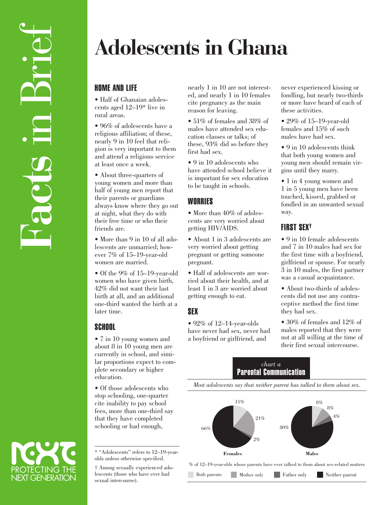# **Adolescents in Ghana**

## HOME AND LIFE

• Half of Ghanaian adolescents aged 12–19\* live in rural areas.

• 96% of adolescents have a religious affiliation; of these, nearly 9 in 10 feel that religion is very important to them and attend a religious service at least once a week.

• About three-quarters of young women and more than half of young men report that their parents or guardians always know where they go out at night, what they do with their free time or who their friends are.

• More than 9 in 10 of all adolescents are unmarried; however 7% of 15–19-year-old women are married.

• Of the 9% of 15–19-year-old women who have given birth, 42% did not want their last birth at all, and an additional one-third wanted the birth at a later time.

## **SCHOOL**

• 7 in 10 young women and about 8 in 10 young men are currently in school, and similar proportions expect to complete secondary or higher education.

• Of those adolescents who stop schooling, one-quarter cite inability to pay school fees, more than one-third say that they have completed schooling or had enough,

\* "Adolescents" refers to 12–19-yearolds unless otherwise specified.

† Among sexually experienced adolescents (those who have ever had sexual intercourse).

nearly 1 in 10 are not interested, and nearly 1 in 10 females cite pregnancy as the main reason for leaving.

• 51% of females and 38% of males have attended sex education classes or talks; of these, 93% did so before they first had sex.

• 9 in 10 adolescents who have attended school believe it is important for sex education to be taught in schools.

# **WORRIES**

• More than 40% of adolescents are very worried about getting HIV/AIDS.

• About 1 in 3 adolescents are very worried about getting pregnant or getting someone pregnant.

• Half of adolescents are worried about their health, and at least 1 in 3 are worried about getting enough to eat.

# SEX

• 92% of 12–14-year-olds have never had sex, never had a boyfriend or girlfriend, and

never experienced kissing or fondling, but nearly two-thirds or more have heard of each of these activities.

• 29% of 15-19-year-old females and 15% of such males have had sex.

• 9 in 10 adolescents think that both young women and young men should remain virgins until they marry.

• 1 in 4 young women and 1 in 5 young men have been touched, kissed, grabbed or fondled in an unwanted sexual way.

## FIRST SEX†

• 9 in 10 female adolescents and 7 in 10 males had sex for the first time with a boyfriend, girlfriend or spouse. For nearly 3 in 10 males, the first partner was a casual acquaintance.

• About two-thirds of adolescents did not use any contraceptive method the first time they had sex.

• 30\% of females and 12\% of males reported that they were not at all willing at the time of their first sexual intercourse.

#### *chart a* Parental Communication

*Most adolescents say that neither parent has talked to them about sex.*



% of 12–19-year-olds whose parents have ever talked to them about sex-related matters

Both parents Mother only Father only Neither parent

PROTECTING THE<br>NEXT GENERATION